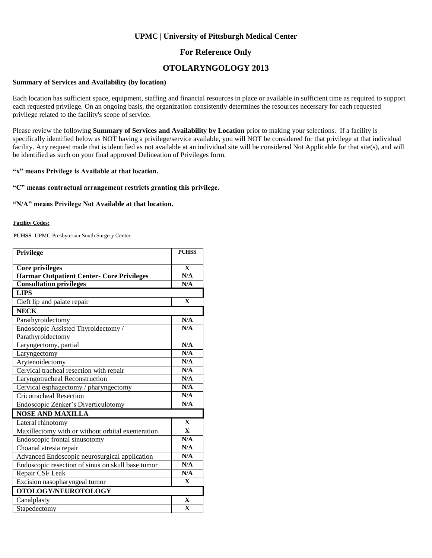### **UPMC | University of Pittsburgh Medical Center**

### **For Reference Only**

## **OTOLARYNGOLOGY 2013**

#### **Summary of Services and Availability (by location)**

Each location has sufficient space, equipment, staffing and financial resources in place or available in sufficient time as required to support each requested privilege. On an ongoing basis, the organization consistently determines the resources necessary for each requested privilege related to the facility's scope of service.

Please review the following **Summary of Services and Availability by Location** prior to making your selections. If a facility is specifically identified below as NOT having a privilege/service available, you will NOT be considered for that privilege at that individual facility. Any request made that is identified as not available at an individual site will be considered Not Applicable for that site(s), and will be identified as such on your final approved Delineation of Privileges form.

### **"x" means Privilege is Available at that location.**

#### **"C" means contractual arrangement restricts granting this privilege.**

#### **"N/A" means Privilege Not Available at that location.**

#### **Facility Codes:**

**PUHSS**=UPMC Presbyterian South Surgery Center

| <b>Privilege</b>                                  | <b>PUHSS</b>            |
|---------------------------------------------------|-------------------------|
|                                                   |                         |
| <b>Core privileges</b>                            | X<br>N/A                |
| <b>Harmar Outpatient Center- Core Privileges</b>  |                         |
| <b>Consultation privileges</b>                    | N/A                     |
| <b>LIPS</b>                                       |                         |
| Cleft lip and palate repair                       | $\mathbf{X}$            |
| <b>NECK</b>                                       |                         |
| Parathyroidectomy                                 | N/A                     |
| Endoscopic Assisted Thyroidectomy /               | N/A                     |
| Parathyroidectomy                                 |                         |
| Laryngectomy, partial                             | N/A                     |
| Laryngectomy                                      | N/A                     |
| Arytenoidectomy                                   | N/A                     |
| Cervical tracheal resection with repair           | N/A                     |
| Laryngotracheal Reconstruction                    | N/A                     |
| Cervical esphagectomy / pharyngectomy             | N/A                     |
| <b>Cricotracheal Resection</b>                    | N/A                     |
| Endoscopic Zenker's Diverticulotomy               | N/A                     |
| <b>NOSE AND MAXILLA</b>                           |                         |
| Lateral rhinotomy                                 | $\mathbf{X}$            |
| Maxillectomy with or without orbital exenteration | $\overline{\mathbf{x}}$ |
| Endoscopic frontal sinusotomy                     | N/A                     |
| Choanal atresia repair                            | N/A                     |
| Advanced Endoscopic neurosurgical application     | N/A                     |
| Endoscopic resection of sinus on skull base tumor | N/A                     |
| Repair CSF Leak                                   | N/A                     |
| Excision nasopharyngeal tumor                     | $\mathbf X$             |
| OTOLOGY/NEUROTOLOGY                               |                         |
| Canalplasty                                       | $\mathbf X$             |
| Stapedectomy                                      | $\mathbf{X}$            |